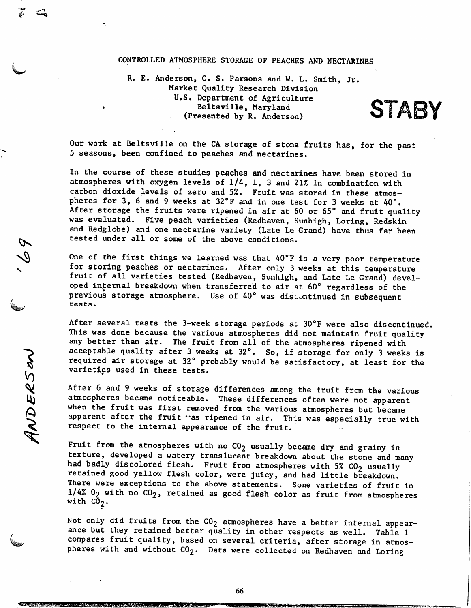## CONTROLLED ATMOSPHERE STORAGE OF PEACHES AND NECTARINES

R. E. Anderson, C. S. Parsons and W. L. Smith, Jr. Market Quality Research Division U.S. Department of Agriculture • Beltsville, Maryland (Presented by R. Anderson)

**STABY** 

Our work at Beltsville on the CA storage of stone fruits has, for the past 5 seasons, been confined to peaches and nectarines.

In the course of these studies peaches and nectarines have been stored in atmospheres with oxygen levels of 1/4, 1, 3 and 21% in combination with carbon dioxide levels of zero and 5%. Fruit was stored in these atmos pheres for 3, 6 and 9 weeks at 32°F and in one test for 3 weeks at 40°. After storage the fruits were ripened in air at 60 or 65° and fruit quality was evaluated. Five peach varieties (Redhaven, Sunhigh, Loring, Redskin and Redglobe) and one nectarine variety (Late Le Grand) have thus far been tested under all or some of the above conditions.

 $\boldsymbol{\mathcal{L}}$ 

 $\delta$ 

*V)*

St

One of the first things we learned was that  $40^{\circ}$ F is a very poor temperature for storing peaches or nectarines. After only 3 weeks at this temperature fruit of all varieties tested (Redhaven, Sunhigh, and Late Le Grand) developed infernal breakdown when transferred to air at 60° regardless of the previous storage atmosphere. Use of 40° was discontinued in subsequent tests.

After several tests the 3-week storage periods at 30°F were also discontinued, This was done because the various atmospheres did not maintain fruit quality any better than air. The fruit from all of the atmospheres ripened with acceptable quality after 3 weeks at 32°. So, if storage for only 3 weeks is required air storage at 32° probably would be satisfactory, at least for the varieties used in these tests.

After 6 and 9 weeks of storage differences among the fruit from the various<br>atmospheres became noticeable. These differences often were not apparent when the fruit was first removed from the various atmospheres but became apparent after the fruit "as ripened in air. This was especially true with respect to the internal appearance of the fruit.

Fruit from the atmospheres with no  $CO<sub>2</sub>$  usually became dry and grainy in texture, developed a watery translucent breakdown about the stone and many had badly discolored flesh. Fruit from atmospheres with 5%  $CO<sub>2</sub>$  usually retained good yellow flesh color, were juicy, and had little breakdown. There were exceptions to the above statements. Some varieties of fruit in  $1/4%$   $0<sub>2</sub>$  with no  $CO<sub>2</sub>$ , retained as good flesh color as fruit from atmospheres with  $\bar{\text{CO}}_2$ .

Not only did fruits from the  $CO<sub>2</sub>$  atmospheres have a better internal appearance but they retained better quality in other respects as well. Table 1 compares fruit quality, based on several criteria, after storage in atmos pheres with and without  $CO_2$ . Data were collected on Redhaven and Loring

66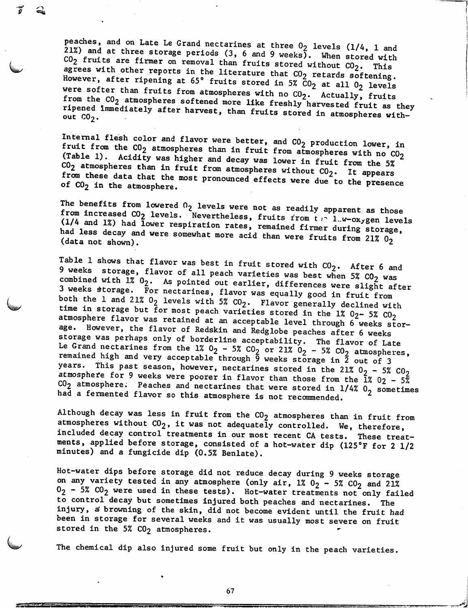peaches, and on Late Le Grand nectarines at three  $0_2$  levels (1/4, 1 and 21%) and at three storage periods (3, 6 and 9 weeks). When stored with  $C0<sub>2</sub>$  fruits are firmer on removal than fruits stored without  $C0<sub>2</sub>$ . This agrees with other reports in the literature that  $CO_2$  retards softening. However, after ripening at 65° fruits stored in 5%  $\bar{c}$ 0<sub>2</sub> at all 0<sub>2</sub> levels were softer than fruits from atmospheres with no  $CO_2$ . Actually, fruits from the CO<sub>2</sub> atmospheres softened more like freshly harvested fruit as they ripened immediately after harvest, than fruits stored in atmospheres without  $CO<sub>2</sub>$ .

Internal flesh color and flavor were better, and CO<sub>2</sub> production lower, in fruit from the  $CO_2$  atmospheres than in fruit from atmospheres with no  $CO_2$ (Table 1). Acidity was higher and decay was lower in fruit from the 5%  $c_0$  atmospheres than in fruit from atmospheres without  $c_2$ . It appears from these data that the most pronounced effects were due to the presence of CO<sub>2</sub> in the atmosphere.

The benefits from lowered  $0<sub>2</sub>$  levels were not as readily apparent as those from increased CO<sub>2</sub> levels. Nevertheless, fruits from the lew-oxygen levels (1/4 and 1%) had lower respiration rates, remained firmer during storage, had less decay and were somewhat more acid than were fruits from 21%  $0_2$ (data not shown).

Table 1 shows that flavor was best in fruit stored with  $CO_2$ . After 6 and 9 weeks storage, flavor of all peach varieties was best when 5%  $CO_2$  was combined with  $1\%$   $0_2$ . As pointed out earlier, differences were slight after 3 weeks storage. For nectarines, flavor was equally good in fruit from both the 1 and 21%  $0_2$  levels with 5%  $CO_2$ . Flavor generally declined with time in storage but for most peach varieties stored in the 1%  $0_2$ - 5%  $0_2$ atmosphere flavor was retained at an acceptable level through 6 weeks storage. However, the flavor of Redskin and Redglobe peaches after 6 weeks storage was perhaps only of borderline acceptability. The flavor of Late Le Grand nectarines from the 1%  $0_2$  - 5%  $C0_2$  or 21%  $0_2$  - 5%  $C0_2$  atmospheres, remained high and very acceptable through  $\overline{9}$  weeks storage in  $\overline{2}$  out of 3 years. This past season, however, nectarines stored in the 21%  $0_2$  - 5%  $0_2$ atmosphere for 9 weeks were poorer in flavor than those from the  $\tilde{1}$  % 02 -  $5\tilde{8}$  $CO<sub>2</sub>$  atmosphere. Peaches and nectarines that were stored in 1/4%  $O<sub>2</sub>$  sometimes had a fermented flavor so this atmosphere is not recommended.

Although decay was less in fruit from the  $CO_2$  atmospheres than in fruit from atmospheres without  $CO_2$ , it was not adequately controlled. We, therefore, included decay control treatments in our most recent CA tests. These treatments, applied before storage, consisted of a hot-water dip (125°F for 2 1/2 minutes) and a fungicide dip (0.5% Benlate).

Hot-water dips before storage did not reduce decay during 9 weeks storage on any variety tested in any atmosphere (only air,  $1\%$   $0_2$  - 5%  $C0_2$  and 21%  $0_2$  - 5%  $C0_2$  were used in these tests). Hot-water treatments not only failed to control decay but sometimes injured both peaches and nectarines. The injury, a browning of the skin, did not become evident until the fruit had been in storage for several weeks and it was usually most severe on fruit stored in the  $5%$  CO<sub>2</sub> atmospheres.

The chemical dip also injured some fruit but only in the peach varieties.

67